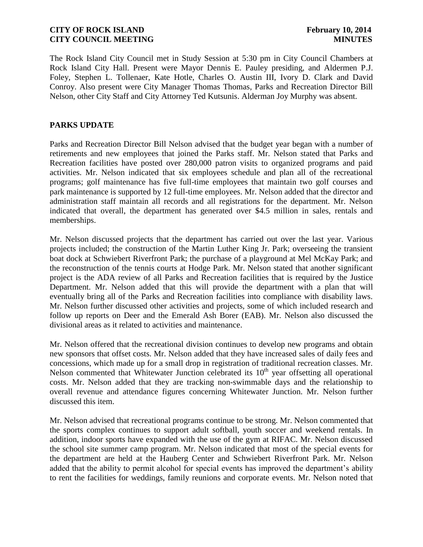The Rock Island City Council met in Study Session at 5:30 pm in City Council Chambers at Rock Island City Hall. Present were Mayor Dennis E. Pauley presiding, and Aldermen P.J. Foley, Stephen L. Tollenaer, Kate Hotle, Charles O. Austin III, Ivory D. Clark and David Conroy. Also present were City Manager Thomas Thomas, Parks and Recreation Director Bill Nelson, other City Staff and City Attorney Ted Kutsunis. Alderman Joy Murphy was absent.

### **PARKS UPDATE**

Parks and Recreation Director Bill Nelson advised that the budget year began with a number of retirements and new employees that joined the Parks staff. Mr. Nelson stated that Parks and Recreation facilities have posted over 280,000 patron visits to organized programs and paid activities. Mr. Nelson indicated that six employees schedule and plan all of the recreational programs; golf maintenance has five full-time employees that maintain two golf courses and park maintenance is supported by 12 full-time employees. Mr. Nelson added that the director and administration staff maintain all records and all registrations for the department. Mr. Nelson indicated that overall, the department has generated over \$4.5 million in sales, rentals and memberships.

Mr. Nelson discussed projects that the department has carried out over the last year. Various projects included; the construction of the Martin Luther King Jr. Park; overseeing the transient boat dock at Schwiebert Riverfront Park; the purchase of a playground at Mel McKay Park; and the reconstruction of the tennis courts at Hodge Park. Mr. Nelson stated that another significant project is the ADA review of all Parks and Recreation facilities that is required by the Justice Department. Mr. Nelson added that this will provide the department with a plan that will eventually bring all of the Parks and Recreation facilities into compliance with disability laws. Mr. Nelson further discussed other activities and projects, some of which included research and follow up reports on Deer and the Emerald Ash Borer (EAB). Mr. Nelson also discussed the divisional areas as it related to activities and maintenance.

Mr. Nelson offered that the recreational division continues to develop new programs and obtain new sponsors that offset costs. Mr. Nelson added that they have increased sales of daily fees and concessions, which made up for a small drop in registration of traditional recreation classes. Mr. Nelson commented that Whitewater Junction celebrated its  $10<sup>th</sup>$  year offsetting all operational costs. Mr. Nelson added that they are tracking non-swimmable days and the relationship to overall revenue and attendance figures concerning Whitewater Junction. Mr. Nelson further discussed this item.

Mr. Nelson advised that recreational programs continue to be strong. Mr. Nelson commented that the sports complex continues to support adult softball, youth soccer and weekend rentals. In addition, indoor sports have expanded with the use of the gym at RIFAC. Mr. Nelson discussed the school site summer camp program. Mr. Nelson indicated that most of the special events for the department are held at the Hauberg Center and Schwiebert Riverfront Park. Mr. Nelson added that the ability to permit alcohol for special events has improved the department's ability to rent the facilities for weddings, family reunions and corporate events. Mr. Nelson noted that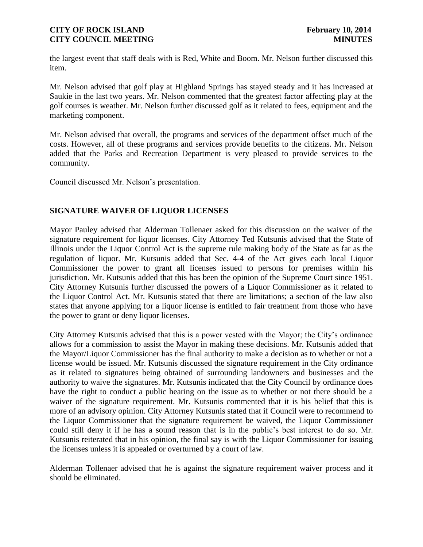the largest event that staff deals with is Red, White and Boom. Mr. Nelson further discussed this item.

Mr. Nelson advised that golf play at Highland Springs has stayed steady and it has increased at Saukie in the last two years. Mr. Nelson commented that the greatest factor affecting play at the golf courses is weather. Mr. Nelson further discussed golf as it related to fees, equipment and the marketing component.

Mr. Nelson advised that overall, the programs and services of the department offset much of the costs. However, all of these programs and services provide benefits to the citizens. Mr. Nelson added that the Parks and Recreation Department is very pleased to provide services to the community.

Council discussed Mr. Nelson's presentation.

# **SIGNATURE WAIVER OF LIQUOR LICENSES**

Mayor Pauley advised that Alderman Tollenaer asked for this discussion on the waiver of the signature requirement for liquor licenses. City Attorney Ted Kutsunis advised that the State of Illinois under the Liquor Control Act is the supreme rule making body of the State as far as the regulation of liquor. Mr. Kutsunis added that Sec. 4-4 of the Act gives each local Liquor Commissioner the power to grant all licenses issued to persons for premises within his jurisdiction. Mr. Kutsunis added that this has been the opinion of the Supreme Court since 1951. City Attorney Kutsunis further discussed the powers of a Liquor Commissioner as it related to the Liquor Control Act. Mr. Kutsunis stated that there are limitations; a section of the law also states that anyone applying for a liquor license is entitled to fair treatment from those who have the power to grant or deny liquor licenses.

City Attorney Kutsunis advised that this is a power vested with the Mayor; the City's ordinance allows for a commission to assist the Mayor in making these decisions. Mr. Kutsunis added that the Mayor/Liquor Commissioner has the final authority to make a decision as to whether or not a license would be issued. Mr. Kutsunis discussed the signature requirement in the City ordinance as it related to signatures being obtained of surrounding landowners and businesses and the authority to waive the signatures. Mr. Kutsunis indicated that the City Council by ordinance does have the right to conduct a public hearing on the issue as to whether or not there should be a waiver of the signature requirement. Mr. Kutsunis commented that it is his belief that this is more of an advisory opinion. City Attorney Kutsunis stated that if Council were to recommend to the Liquor Commissioner that the signature requirement be waived, the Liquor Commissioner could still deny it if he has a sound reason that is in the public's best interest to do so. Mr. Kutsunis reiterated that in his opinion, the final say is with the Liquor Commissioner for issuing the licenses unless it is appealed or overturned by a court of law.

Alderman Tollenaer advised that he is against the signature requirement waiver process and it should be eliminated.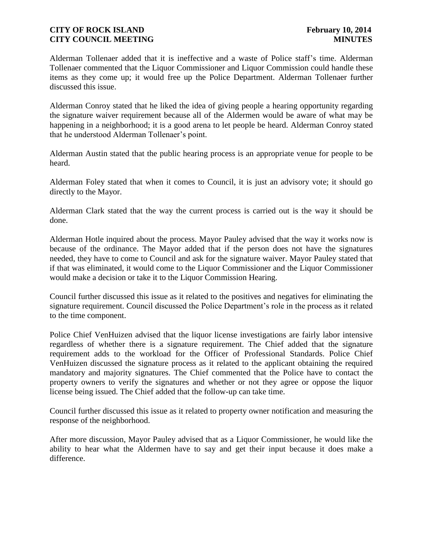Alderman Tollenaer added that it is ineffective and a waste of Police staff's time. Alderman Tollenaer commented that the Liquor Commissioner and Liquor Commission could handle these items as they come up; it would free up the Police Department. Alderman Tollenaer further discussed this issue.

Alderman Conroy stated that he liked the idea of giving people a hearing opportunity regarding the signature waiver requirement because all of the Aldermen would be aware of what may be happening in a neighborhood; it is a good arena to let people be heard. Alderman Conroy stated that he understood Alderman Tollenaer's point.

Alderman Austin stated that the public hearing process is an appropriate venue for people to be heard.

Alderman Foley stated that when it comes to Council, it is just an advisory vote; it should go directly to the Mayor.

Alderman Clark stated that the way the current process is carried out is the way it should be done.

Alderman Hotle inquired about the process. Mayor Pauley advised that the way it works now is because of the ordinance. The Mayor added that if the person does not have the signatures needed, they have to come to Council and ask for the signature waiver. Mayor Pauley stated that if that was eliminated, it would come to the Liquor Commissioner and the Liquor Commissioner would make a decision or take it to the Liquor Commission Hearing.

Council further discussed this issue as it related to the positives and negatives for eliminating the signature requirement. Council discussed the Police Department's role in the process as it related to the time component.

Police Chief VenHuizen advised that the liquor license investigations are fairly labor intensive regardless of whether there is a signature requirement. The Chief added that the signature requirement adds to the workload for the Officer of Professional Standards. Police Chief VenHuizen discussed the signature process as it related to the applicant obtaining the required mandatory and majority signatures. The Chief commented that the Police have to contact the property owners to verify the signatures and whether or not they agree or oppose the liquor license being issued. The Chief added that the follow-up can take time.

Council further discussed this issue as it related to property owner notification and measuring the response of the neighborhood.

After more discussion, Mayor Pauley advised that as a Liquor Commissioner, he would like the ability to hear what the Aldermen have to say and get their input because it does make a difference.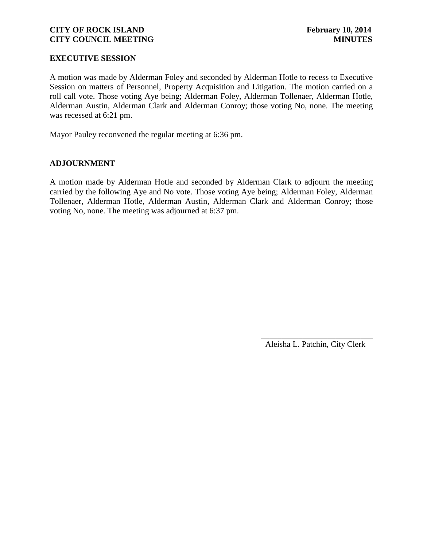### **EXECUTIVE SESSION**

A motion was made by Alderman Foley and seconded by Alderman Hotle to recess to Executive Session on matters of Personnel, Property Acquisition and Litigation. The motion carried on a roll call vote. Those voting Aye being; Alderman Foley, Alderman Tollenaer, Alderman Hotle, Alderman Austin, Alderman Clark and Alderman Conroy; those voting No, none. The meeting was recessed at 6:21 pm.

Mayor Pauley reconvened the regular meeting at 6:36 pm.

### **ADJOURNMENT**

A motion made by Alderman Hotle and seconded by Alderman Clark to adjourn the meeting carried by the following Aye and No vote. Those voting Aye being; Alderman Foley, Alderman Tollenaer, Alderman Hotle, Alderman Austin, Alderman Clark and Alderman Conroy; those voting No, none. The meeting was adjourned at 6:37 pm.

> \_\_\_\_\_\_\_\_\_\_\_\_\_\_\_\_\_\_\_\_\_\_\_\_\_\_\_ Aleisha L. Patchin, City Clerk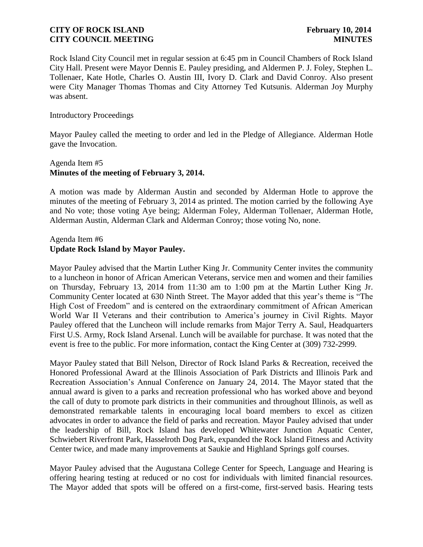Rock Island City Council met in regular session at 6:45 pm in Council Chambers of Rock Island City Hall. Present were Mayor Dennis E. Pauley presiding, and Aldermen P. J. Foley, Stephen L. Tollenaer, Kate Hotle, Charles O. Austin III, Ivory D. Clark and David Conroy. Also present were City Manager Thomas Thomas and City Attorney Ted Kutsunis. Alderman Joy Murphy was absent.

#### Introductory Proceedings

Mayor Pauley called the meeting to order and led in the Pledge of Allegiance. Alderman Hotle gave the Invocation.

# Agenda Item #5 **Minutes of the meeting of February 3, 2014.**

A motion was made by Alderman Austin and seconded by Alderman Hotle to approve the minutes of the meeting of February 3, 2014 as printed. The motion carried by the following Aye and No vote; those voting Aye being; Alderman Foley, Alderman Tollenaer, Alderman Hotle, Alderman Austin, Alderman Clark and Alderman Conroy; those voting No, none.

# Agenda Item #6 **Update Rock Island by Mayor Pauley.**

Mayor Pauley advised that the Martin Luther King Jr. Community Center invites the community to a luncheon in honor of African American Veterans, service men and women and their families on Thursday, February 13, 2014 from 11:30 am to 1:00 pm at the Martin Luther King Jr. Community Center located at 630 Ninth Street. The Mayor added that this year's theme is "The High Cost of Freedom" and is centered on the extraordinary commitment of African American World War II Veterans and their contribution to America's journey in Civil Rights. Mayor Pauley offered that the Luncheon will include remarks from Major Terry A. Saul, Headquarters First U.S. Army, Rock Island Arsenal. Lunch will be available for purchase. It was noted that the event is free to the public. For more information, contact the King Center at (309) 732-2999.

Mayor Pauley stated that Bill Nelson, Director of Rock Island Parks & Recreation, received the Honored Professional Award at the Illinois Association of Park Districts and Illinois Park and Recreation Association's Annual Conference on January 24, 2014. The Mayor stated that the annual award is given to a parks and recreation professional who has worked above and beyond the call of duty to promote park districts in their communities and throughout Illinois, as well as demonstrated remarkable talents in encouraging local board members to excel as citizen advocates in order to advance the field of parks and recreation. Mayor Pauley advised that under the leadership of Bill, Rock Island has developed Whitewater Junction Aquatic Center, Schwiebert Riverfront Park, Hasselroth Dog Park, expanded the Rock Island Fitness and Activity Center twice, and made many improvements at Saukie and Highland Springs golf courses.

Mayor Pauley advised that the Augustana College Center for Speech, Language and Hearing is offering hearing testing at reduced or no cost for individuals with limited financial resources. The Mayor added that spots will be offered on a first-come, first-served basis. Hearing tests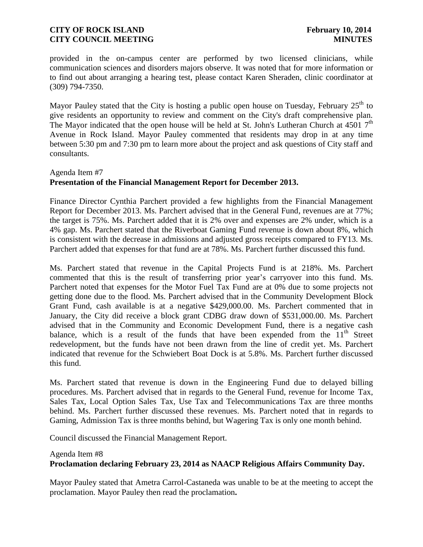provided in the on-campus center are performed by two licensed clinicians, while communication sciences and disorders majors observe. It was noted that for more information or to find out about arranging a hearing test, please contact Karen Sheraden, clinic coordinator at (309) 794-7350.

Mayor Pauley stated that the City is hosting a public open house on Tuesday, February  $25<sup>th</sup>$  to give residents an opportunity to review and comment on the City's draft comprehensive plan. The Mayor indicated that the open house will be held at St. John's Lutheran Church at  $4501$  7<sup>th</sup> Avenue in Rock Island. Mayor Pauley commented that residents may drop in at any time between 5:30 pm and 7:30 pm to learn more about the project and ask questions of City staff and consultants.

### Agenda Item #7

# **Presentation of the Financial Management Report for December 2013.**

Finance Director Cynthia Parchert provided a few highlights from the Financial Management Report for December 2013. Ms. Parchert advised that in the General Fund, revenues are at 77%; the target is 75%. Ms. Parchert added that it is 2% over and expenses are 2% under, which is a 4% gap. Ms. Parchert stated that the Riverboat Gaming Fund revenue is down about 8%, which is consistent with the decrease in admissions and adjusted gross receipts compared to FY13. Ms. Parchert added that expenses for that fund are at 78%. Ms. Parchert further discussed this fund.

Ms. Parchert stated that revenue in the Capital Projects Fund is at 218%. Ms. Parchert commented that this is the result of transferring prior year's carryover into this fund. Ms. Parchert noted that expenses for the Motor Fuel Tax Fund are at 0% due to some projects not getting done due to the flood. Ms. Parchert advised that in the Community Development Block Grant Fund, cash available is at a negative \$429,000.00. Ms. Parchert commented that in January, the City did receive a block grant CDBG draw down of \$531,000.00. Ms. Parchert advised that in the Community and Economic Development Fund, there is a negative cash balance, which is a result of the funds that have been expended from the  $11<sup>th</sup>$  Street redevelopment, but the funds have not been drawn from the line of credit yet. Ms. Parchert indicated that revenue for the Schwiebert Boat Dock is at 5.8%. Ms. Parchert further discussed this fund.

Ms. Parchert stated that revenue is down in the Engineering Fund due to delayed billing procedures. Ms. Parchert advised that in regards to the General Fund, revenue for Income Tax, Sales Tax, Local Option Sales Tax, Use Tax and Telecommunications Tax are three months behind. Ms. Parchert further discussed these revenues. Ms. Parchert noted that in regards to Gaming, Admission Tax is three months behind, but Wagering Tax is only one month behind.

Council discussed the Financial Management Report.

# Agenda Item #8 **Proclamation declaring February 23, 2014 as NAACP Religious Affairs Community Day.**

Mayor Pauley stated that Ametra Carrol-Castaneda was unable to be at the meeting to accept the proclamation. Mayor Pauley then read the proclamation**.**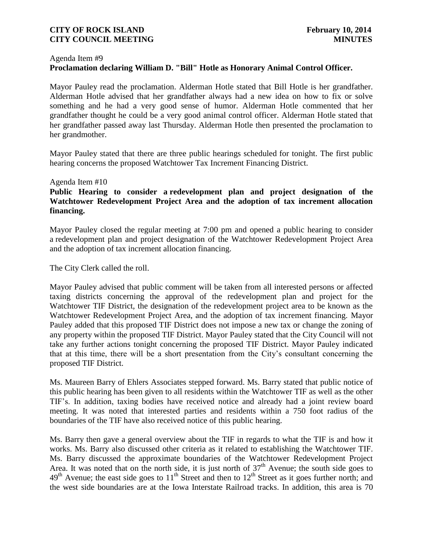#### Agenda Item #9 **Proclamation declaring William D. "Bill" Hotle as Honorary Animal Control Officer.**

Mayor Pauley read the proclamation. Alderman Hotle stated that Bill Hotle is her grandfather. Alderman Hotle advised that her grandfather always had a new idea on how to fix or solve something and he had a very good sense of humor. Alderman Hotle commented that her grandfather thought he could be a very good animal control officer. Alderman Hotle stated that her grandfather passed away last Thursday. Alderman Hotle then presented the proclamation to her grandmother.

Mayor Pauley stated that there are three public hearings scheduled for tonight. The first public hearing concerns the proposed Watchtower Tax Increment Financing District.

### Agenda Item #10

# **Public Hearing to consider a redevelopment plan and project designation of the Watchtower Redevelopment Project Area and the adoption of tax increment allocation financing.**

Mayor Pauley closed the regular meeting at 7:00 pm and opened a public hearing to consider a redevelopment plan and project designation of the Watchtower Redevelopment Project Area and the adoption of tax increment allocation financing.

The City Clerk called the roll.

Mayor Pauley advised that public comment will be taken from all interested persons or affected taxing districts concerning the approval of the redevelopment plan and project for the Watchtower TIF District, the designation of the redevelopment project area to be known as the Watchtower Redevelopment Project Area, and the adoption of tax increment financing. Mayor Pauley added that this proposed TIF District does not impose a new tax or change the zoning of any property within the proposed TIF District. Mayor Pauley stated that the City Council will not take any further actions tonight concerning the proposed TIF District. Mayor Pauley indicated that at this time, there will be a short presentation from the City's consultant concerning the proposed TIF District.

Ms. Maureen Barry of Ehlers Associates stepped forward. Ms. Barry stated that public notice of this public hearing has been given to all residents within the Watchtower TIF as well as the other TIF's. In addition, taxing bodies have received notice and already had a joint review board meeting. It was noted that interested parties and residents within a 750 foot radius of the boundaries of the TIF have also received notice of this public hearing.

Ms. Barry then gave a general overview about the TIF in regards to what the TIF is and how it works. Ms. Barry also discussed other criteria as it related to establishing the Watchtower TIF. Ms. Barry discussed the approximate boundaries of the Watchtower Redevelopment Project Area. It was noted that on the north side, it is just north of  $37<sup>th</sup>$  Avenue; the south side goes to  $49<sup>th</sup>$  Avenue; the east side goes to  $11<sup>th</sup>$  Street and then to  $12<sup>th</sup>$  Street as it goes further north; and the west side boundaries are at the Iowa Interstate Railroad tracks. In addition, this area is 70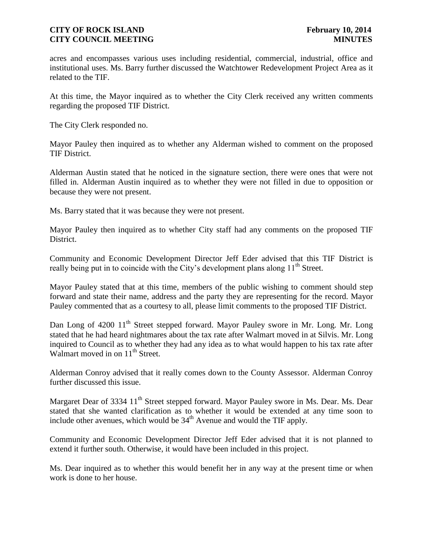acres and encompasses various uses including residential, commercial, industrial, office and institutional uses. Ms. Barry further discussed the Watchtower Redevelopment Project Area as it related to the TIF.

At this time, the Mayor inquired as to whether the City Clerk received any written comments regarding the proposed TIF District.

The City Clerk responded no.

Mayor Pauley then inquired as to whether any Alderman wished to comment on the proposed TIF District.

Alderman Austin stated that he noticed in the signature section, there were ones that were not filled in. Alderman Austin inquired as to whether they were not filled in due to opposition or because they were not present.

Ms. Barry stated that it was because they were not present.

Mayor Pauley then inquired as to whether City staff had any comments on the proposed TIF District.

Community and Economic Development Director Jeff Eder advised that this TIF District is really being put in to coincide with the City's development plans along 11<sup>th</sup> Street.

Mayor Pauley stated that at this time, members of the public wishing to comment should step forward and state their name, address and the party they are representing for the record. Mayor Pauley commented that as a courtesy to all, please limit comments to the proposed TIF District.

Dan Long of 4200 11<sup>th</sup> Street stepped forward. Mayor Pauley swore in Mr. Long. Mr. Long stated that he had heard nightmares about the tax rate after Walmart moved in at Silvis. Mr. Long inquired to Council as to whether they had any idea as to what would happen to his tax rate after Walmart moved in on  $11<sup>th</sup>$  Street.

Alderman Conroy advised that it really comes down to the County Assessor. Alderman Conroy further discussed this issue.

Margaret Dear of 3334 11<sup>th</sup> Street stepped forward. Mayor Pauley swore in Ms. Dear. Ms. Dear stated that she wanted clarification as to whether it would be extended at any time soon to include other avenues, which would be  $34<sup>th</sup>$  Avenue and would the TIF apply.

Community and Economic Development Director Jeff Eder advised that it is not planned to extend it further south. Otherwise, it would have been included in this project.

Ms. Dear inquired as to whether this would benefit her in any way at the present time or when work is done to her house.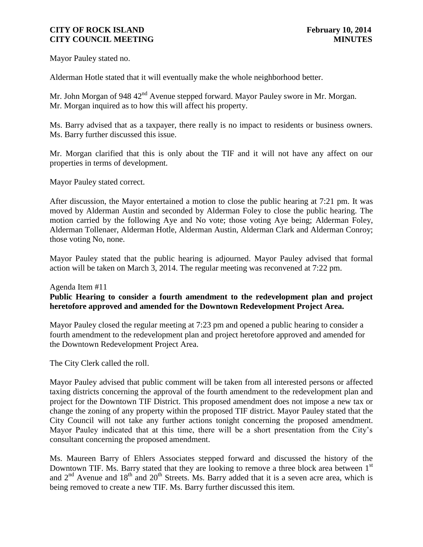Mayor Pauley stated no.

Alderman Hotle stated that it will eventually make the whole neighborhood better.

Mr. John Morgan of 948 42<sup>nd</sup> Avenue stepped forward. Mayor Pauley swore in Mr. Morgan. Mr. Morgan inquired as to how this will affect his property.

Ms. Barry advised that as a taxpayer, there really is no impact to residents or business owners. Ms. Barry further discussed this issue.

Mr. Morgan clarified that this is only about the TIF and it will not have any affect on our properties in terms of development.

Mayor Pauley stated correct.

After discussion, the Mayor entertained a motion to close the public hearing at 7:21 pm. It was moved by Alderman Austin and seconded by Alderman Foley to close the public hearing. The motion carried by the following Aye and No vote; those voting Aye being; Alderman Foley, Alderman Tollenaer, Alderman Hotle, Alderman Austin, Alderman Clark and Alderman Conroy; those voting No, none.

Mayor Pauley stated that the public hearing is adjourned. Mayor Pauley advised that formal action will be taken on March 3, 2014. The regular meeting was reconvened at 7:22 pm.

### Agenda Item #11

# **Public Hearing to consider a fourth amendment to the redevelopment plan and project heretofore approved and amended for the Downtown Redevelopment Project Area.**

Mayor Pauley closed the regular meeting at 7:23 pm and opened a public hearing to consider a fourth amendment to the redevelopment plan and project heretofore approved and amended for the Downtown Redevelopment Project Area.

The City Clerk called the roll.

Mayor Pauley advised that public comment will be taken from all interested persons or affected taxing districts concerning the approval of the fourth amendment to the redevelopment plan and project for the Downtown TIF District. This proposed amendment does not impose a new tax or change the zoning of any property within the proposed TIF district. Mayor Pauley stated that the City Council will not take any further actions tonight concerning the proposed amendment. Mayor Pauley indicated that at this time, there will be a short presentation from the City's consultant concerning the proposed amendment.

Ms. Maureen Barry of Ehlers Associates stepped forward and discussed the history of the Downtown TIF. Ms. Barry stated that they are looking to remove a three block area between 1<sup>st</sup> and  $2<sup>nd</sup>$  Avenue and  $18<sup>th</sup>$  and  $20<sup>th</sup>$  Streets. Ms. Barry added that it is a seven acre area, which is being removed to create a new TIF. Ms. Barry further discussed this item.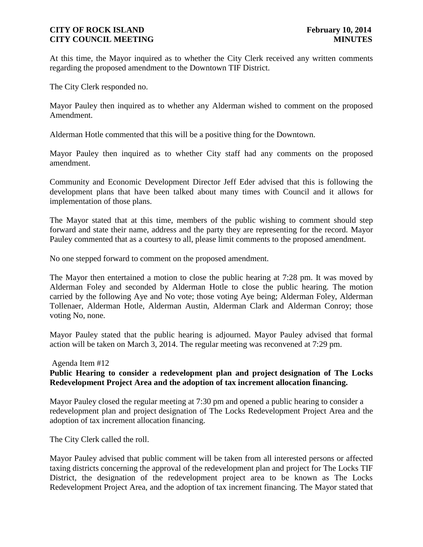At this time, the Mayor inquired as to whether the City Clerk received any written comments regarding the proposed amendment to the Downtown TIF District.

The City Clerk responded no.

Mayor Pauley then inquired as to whether any Alderman wished to comment on the proposed Amendment.

Alderman Hotle commented that this will be a positive thing for the Downtown.

Mayor Pauley then inquired as to whether City staff had any comments on the proposed amendment.

Community and Economic Development Director Jeff Eder advised that this is following the development plans that have been talked about many times with Council and it allows for implementation of those plans.

The Mayor stated that at this time, members of the public wishing to comment should step forward and state their name, address and the party they are representing for the record. Mayor Pauley commented that as a courtesy to all, please limit comments to the proposed amendment.

No one stepped forward to comment on the proposed amendment.

The Mayor then entertained a motion to close the public hearing at 7:28 pm. It was moved by Alderman Foley and seconded by Alderman Hotle to close the public hearing. The motion carried by the following Aye and No vote; those voting Aye being; Alderman Foley, Alderman Tollenaer, Alderman Hotle, Alderman Austin, Alderman Clark and Alderman Conroy; those voting No, none.

Mayor Pauley stated that the public hearing is adjourned. Mayor Pauley advised that formal action will be taken on March 3, 2014. The regular meeting was reconvened at 7:29 pm.

#### Agenda Item #12

# **Public Hearing to consider a redevelopment plan and project designation of The Locks Redevelopment Project Area and the adoption of tax increment allocation financing.**

Mayor Pauley closed the regular meeting at 7:30 pm and opened a public hearing to consider a redevelopment plan and project designation of The Locks Redevelopment Project Area and the adoption of tax increment allocation financing.

The City Clerk called the roll.

Mayor Pauley advised that public comment will be taken from all interested persons or affected taxing districts concerning the approval of the redevelopment plan and project for The Locks TIF District, the designation of the redevelopment project area to be known as The Locks Redevelopment Project Area, and the adoption of tax increment financing. The Mayor stated that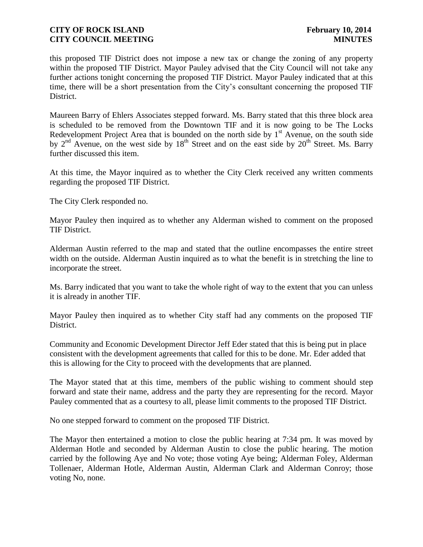this proposed TIF District does not impose a new tax or change the zoning of any property within the proposed TIF District. Mayor Pauley advised that the City Council will not take any further actions tonight concerning the proposed TIF District. Mayor Pauley indicated that at this time, there will be a short presentation from the City's consultant concerning the proposed TIF District.

Maureen Barry of Ehlers Associates stepped forward. Ms. Barry stated that this three block area is scheduled to be removed from the Downtown TIF and it is now going to be The Locks Redevelopment Project Area that is bounded on the north side by  $1<sup>st</sup>$  Avenue, on the south side by  $2<sup>nd</sup>$  Avenue, on the west side by  $18<sup>th</sup>$  Street and on the east side by  $20<sup>th</sup>$  Street. Ms. Barry further discussed this item.

At this time, the Mayor inquired as to whether the City Clerk received any written comments regarding the proposed TIF District.

The City Clerk responded no.

Mayor Pauley then inquired as to whether any Alderman wished to comment on the proposed TIF District.

Alderman Austin referred to the map and stated that the outline encompasses the entire street width on the outside. Alderman Austin inquired as to what the benefit is in stretching the line to incorporate the street.

Ms. Barry indicated that you want to take the whole right of way to the extent that you can unless it is already in another TIF.

Mayor Pauley then inquired as to whether City staff had any comments on the proposed TIF District.

Community and Economic Development Director Jeff Eder stated that this is being put in place consistent with the development agreements that called for this to be done. Mr. Eder added that this is allowing for the City to proceed with the developments that are planned.

The Mayor stated that at this time, members of the public wishing to comment should step forward and state their name, address and the party they are representing for the record. Mayor Pauley commented that as a courtesy to all, please limit comments to the proposed TIF District.

No one stepped forward to comment on the proposed TIF District.

The Mayor then entertained a motion to close the public hearing at 7:34 pm. It was moved by Alderman Hotle and seconded by Alderman Austin to close the public hearing. The motion carried by the following Aye and No vote; those voting Aye being; Alderman Foley, Alderman Tollenaer, Alderman Hotle, Alderman Austin, Alderman Clark and Alderman Conroy; those voting No, none.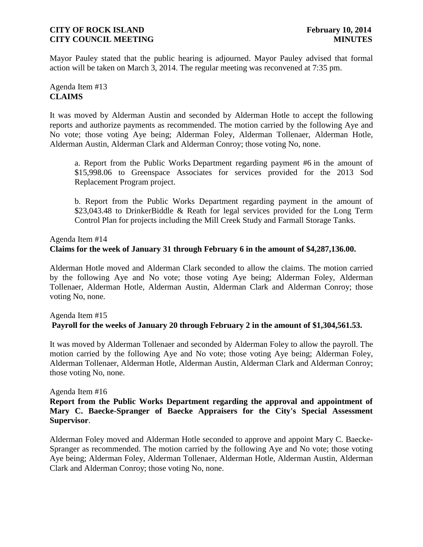Mayor Pauley stated that the public hearing is adjourned. Mayor Pauley advised that formal action will be taken on March 3, 2014. The regular meeting was reconvened at 7:35 pm.

# Agenda Item #13 **CLAIMS**

It was moved by Alderman Austin and seconded by Alderman Hotle to accept the following reports and authorize payments as recommended. The motion carried by the following Aye and No vote; those voting Aye being; Alderman Foley, Alderman Tollenaer, Alderman Hotle, Alderman Austin, Alderman Clark and Alderman Conroy; those voting No, none.

a. Report from the Public Works Department regarding payment #6 in the amount of \$15,998.06 to Greenspace Associates for services provided for the 2013 Sod Replacement Program project.

b. Report from the Public Works Department regarding payment in the amount of \$23,043.48 to DrinkerBiddle & Reath for legal services provided for the Long Term Control Plan for projects including the Mill Creek Study and Farmall Storage Tanks.

#### Agenda Item #14 **Claims for the week of January 31 through February 6 in the amount of \$4,287,136.00.**

Alderman Hotle moved and Alderman Clark seconded to allow the claims. The motion carried by the following Aye and No vote; those voting Aye being; Alderman Foley, Alderman Tollenaer, Alderman Hotle, Alderman Austin, Alderman Clark and Alderman Conroy; those voting No, none.

# Agenda Item #15 **Payroll for the weeks of January 20 through February 2 in the amount of \$1,304,561.53.**

It was moved by Alderman Tollenaer and seconded by Alderman Foley to allow the payroll. The motion carried by the following Aye and No vote; those voting Aye being; Alderman Foley, Alderman Tollenaer, Alderman Hotle, Alderman Austin, Alderman Clark and Alderman Conroy; those voting No, none.

### Agenda Item #16

# **Report from the Public Works Department regarding the approval and appointment of Mary C. Baecke-Spranger of Baecke Appraisers for the City's Special Assessment Supervisor**.

Alderman Foley moved and Alderman Hotle seconded to approve and appoint Mary C. Baecke-Spranger as recommended. The motion carried by the following Aye and No vote; those voting Aye being; Alderman Foley, Alderman Tollenaer, Alderman Hotle, Alderman Austin, Alderman Clark and Alderman Conroy; those voting No, none.